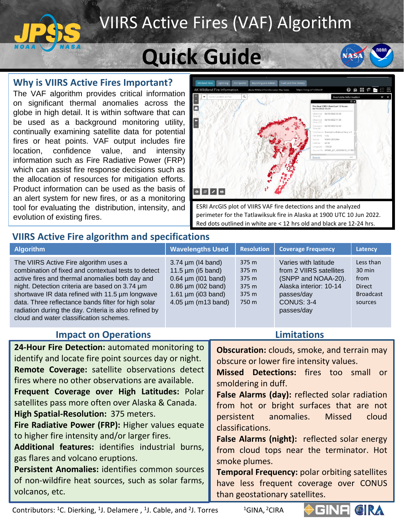### VIIRS Active Fires (VAF) Algorithm

# **Quick Guide**

#### **Why is VIIRS Active Fires Important?**

The VAF algorithm provides critical information on significant thermal anomalies across the globe in high detail. It is within software that can be used as a background monitoring utility, continually examining satellite data for potential fires or heat points. VAF output includes fire location, confidence value, and intensity information such as Fire Radiative Power (FRP) which can assist fire response decisions such as the allocation of resources for mitigation efforts. Product information can be used as the basis of an alert system for new fires, or as a monitoring tool for evaluating the distribution, intensity, and evolution of existing fires.



**NASA** 

ESRI ArcGIS plot of VIIRS VAF fire detections and the analyzed perimeter for the Tatlawiksuk fire in Alaska at 1900 UTC 10 Jun 2022. Red dots outlined in white are < 12 hrs old and black are 12-24 hrs.

**Limitations**

#### **VIIRS Active Fire algorithm and specifications**

| <b>Algorithm</b>                                                                                                                                                                                                                                                                                                                                                                                                 | <b>Wavelengths Used</b>                                                                                                                                                                | <b>Resolution</b>                                  | <b>Coverage Frequency</b>                                                                                                                         | <b>Latency</b>                                                         |
|------------------------------------------------------------------------------------------------------------------------------------------------------------------------------------------------------------------------------------------------------------------------------------------------------------------------------------------------------------------------------------------------------------------|----------------------------------------------------------------------------------------------------------------------------------------------------------------------------------------|----------------------------------------------------|---------------------------------------------------------------------------------------------------------------------------------------------------|------------------------------------------------------------------------|
| The VIIRS Active Fire algorithm uses a<br>combination of fixed and contextual tests to detect<br>active fires and thermal anomalies both day and<br>night. Detection criteria are based on 3.74 um<br>shortwave IR data refined with 11.5 µm longwave<br>data. Three reflectance bands filter for high solar<br>radiation during the day. Criteria is also refined by<br>cloud and water classification schemes. | $3.74 \,\mathrm{\upmu m}$ (14 band)<br>11.5 $\mu$ m (i5 band)<br>$0.64 \mu m$ (101 band)<br>$0.86 \mu m$ (102 band)<br>1.61 $\mu$ m (i03 band)<br>$4.05 \,\mathrm{\upmu m}$ (m13 band) | 375 m<br>375 m<br>375 m<br>375 m<br>375 m<br>750 m | Varies with latitude<br>from 2 VIIRS satellites<br>(SNPP and NOAA-20).<br>Alaska interior: 10-14<br>passes/day<br><b>CONUS: 3-4</b><br>passes/day | Less than<br>$30$ min<br>from<br>Direct<br><b>Broadcast</b><br>sources |

#### **Impact on Operations**

| 24-Hour Fire Detection: automated monitoring to      | <b>Obscuration:</b> clouds, smoke, and terrain may   |
|------------------------------------------------------|------------------------------------------------------|
| identify and locate fire point sources day or night. | obscure or lower fire intensity values.              |
| Remote Coverage: satellite observations detect       | Missed Detections: fires too small or                |
| fires where no other observations are available.     | smoldering in duff.                                  |
| Frequent Coverage over High Latitudes: Polar         | False Alarms (day): reflected solar radiation        |
| satellites pass more often over Alaska & Canada.     | from hot or bright surfaces that are not             |
| High Spatial-Resolution: 375 meters.                 | persistent anomalies. Missed<br>cloud                |
| Fire Radiative Power (FRP): Higher values equate     | classifications.                                     |
| to higher fire intensity and/or larger fires.        | <b>False Alarms (night):</b> reflected solar energy  |
| Additional features: identifies industrial burns,    | from cloud tops near the terminator. Hot             |
| gas flares and volcano eruptions.                    | smoke plumes.                                        |
| Persistent Anomalies: identifies common sources      | <b>Temporal Frequency: polar orbiting satellites</b> |
| of non-wildfire heat sources, such as solar farms,   | have less frequent coverage over CONUS               |
| volcanos, etc.                                       | than geostationary satellites.                       |

Contributors:  ${}^{1}$ C. Dierking,  ${}^{1}$ J. Delamere,  ${}^{1}$ J. Cable, and  ${}^{2}$ 

<sup>1</sup>GINA, <sup>2</sup>CIRA